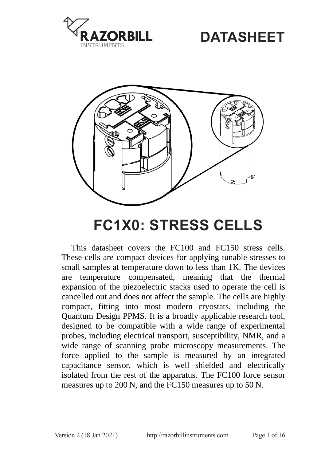

# **DATASHEET**



# **FC1X0: STRESS CELLS**

<span id="page-0-1"></span><span id="page-0-0"></span>This datasheet covers the FC100 and FC150 stress cells. These cells are compact devices for applying tunable stresses to small samples at temperature down to less than 1K. The devices are temperature compensated, meaning that the thermal expansion of the piezoelectric stacks used to operate the cell is cancelled out and does not affect the sample. The cells are highly compact, fitting into most modern cryostats, including the Quantum Design PPMS. It is a broadly applicable research tool, designed to be compatible with a wide range of experimental probes, including electrical transport, susceptibility, NMR, and a wide range of scanning probe microscopy measurements. The force applied to the sample is measured by an integrated capacitance sensor, which is well shielded and electrically isolated from the rest of the apparatus. The FC100 force sensor measures up to 200 N, and the FC150 measures up to 50 N.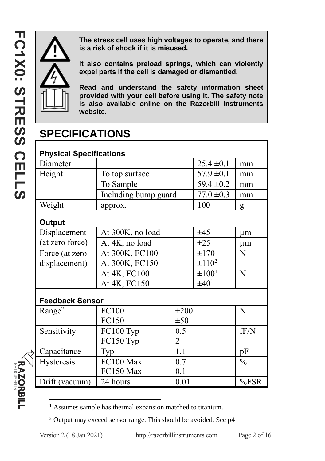**RAZORBILL** 



**The stress cell uses high voltages to operate, and there is a risk of shock if it is misused.** 

**It also contains preload springs, which can violently expel parts if the cell is damaged or dismantled.** 

**Read and understand the safety information sheet provided with your cell before using it. The safety note is also available online on the Razorbill Instruments website.**

# **SPECIFICATIONS**

| <b>Physical Specifications</b> |                      |                |             |               |  |  |  |
|--------------------------------|----------------------|----------------|-------------|---------------|--|--|--|
| Diameter                       |                      | $25.4 \pm 0.1$ | mm          |               |  |  |  |
| Height                         | To top surface       | $57.9 \pm 0.1$ | mm          |               |  |  |  |
|                                | To Sample            | $59.4 \pm 0.2$ | mm          |               |  |  |  |
|                                | Including bump guard | $77.0 \pm 0.3$ | mm          |               |  |  |  |
| Weight                         | approx.              | 100            | g           |               |  |  |  |
| Output                         |                      |                |             |               |  |  |  |
| Displacement                   | At 300K, no load     | ±45            | um          |               |  |  |  |
| (at zero force)                | At 4K, no load       | $\pm 25$       | um          |               |  |  |  |
| Force (at zero                 | At 300K, FC100       | $\pm 170$      | N           |               |  |  |  |
| displacement)                  | At 300K, FC150       | $\pm 110^2$    |             |               |  |  |  |
|                                | At 4K, FC100         |                | $\pm 100^1$ | N             |  |  |  |
|                                | At 4K, FC150         | $\pm 40^1$     |             |               |  |  |  |
| <b>Feedback Sensor</b>         |                      |                |             |               |  |  |  |
| Range <sup>2</sup>             | FC100<br>$\pm 200$   |                |             | N             |  |  |  |
|                                | FC150<br>$\pm 50$    |                |             |               |  |  |  |
| Sensitivity                    | FC100 Typ            | 0.5            |             | fF/N          |  |  |  |
|                                | FC150 Typ            | 2              |             |               |  |  |  |
| Capacitance                    | 1.1<br>Typ           |                |             | pF            |  |  |  |
| Hysteresis                     | FC100 Max<br>0.7     |                |             | $\frac{0}{0}$ |  |  |  |
|                                | FC150 Max            | 0.1            |             |               |  |  |  |
| Drift (vacuum)                 | 24 hours<br>0.01     |                |             | %FSR          |  |  |  |

<sup>1</sup> Assumes sample has thermal expansion matched to titanium.

<sup>2</sup> Output may exceed sensor range. This should be avoided. See [p4](#page-3-0)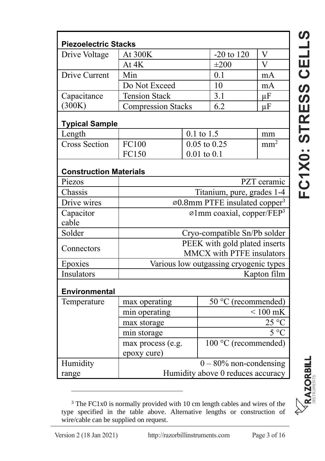| <b>Piezoelectric Stacks</b>   |                                                            |     |                      |                 |  |  |
|-------------------------------|------------------------------------------------------------|-----|----------------------|-----------------|--|--|
| Drive Voltage                 | At 300K                                                    |     | $-20$ to $120$       | $\overline{V}$  |  |  |
|                               | At 4K                                                      |     | $\pm 200$            | $\overline{V}$  |  |  |
| Drive Current                 | Min                                                        |     | 0.1                  | mA              |  |  |
|                               | Do Not Exceed                                              |     | 10                   | mA              |  |  |
| Capacitance                   | <b>Tension Stack</b>                                       | 3.1 | $\mu$ F              |                 |  |  |
| (300K)                        | <b>Compression Stacks</b>                                  |     | 6.2                  | μF              |  |  |
| <b>Typical Sample</b>         |                                                            |     |                      |                 |  |  |
| Length                        | 0.1 to 1.5                                                 |     |                      | mm              |  |  |
| <b>Cross Section</b>          | FC100<br>$0.05$ to $0.25$                                  |     |                      | mm <sup>2</sup> |  |  |
|                               | FC150                                                      |     | $0.01$ to $0.1$      |                 |  |  |
| <b>Construction Materials</b> |                                                            |     |                      |                 |  |  |
| Piezos                        | PZT ceramic                                                |     |                      |                 |  |  |
| Chassis                       | Titanium, pure, grades 1-4                                 |     |                      |                 |  |  |
| Drive wires                   | $\varnothing$ 0.8mm PTFE insulated copper <sup>3</sup>     |     |                      |                 |  |  |
| Capacitor                     | $\varnothing$ 1mm coaxial, copper/FEP <sup>3</sup>         |     |                      |                 |  |  |
| cable                         |                                                            |     |                      |                 |  |  |
| Solder                        | Cryo-compatible Sn/Pb solder                               |     |                      |                 |  |  |
| Connectors                    | PEEK with gold plated inserts<br>MMCX with PTFE insulators |     |                      |                 |  |  |
| Epoxies                       | Various low outgassing cryogenic types                     |     |                      |                 |  |  |
| Insulators                    | Kapton film                                                |     |                      |                 |  |  |
| <b>Environmental</b>          |                                                            |     |                      |                 |  |  |
| Temperature                   | max operating                                              |     | 50 °C (recommended)  |                 |  |  |
|                               | min operating                                              |     | $< 100$ mK           |                 |  |  |
|                               | max storage<br>min storage                                 |     | 25 °C                |                 |  |  |
|                               |                                                            |     | $5^{\circ}$ C        |                 |  |  |
|                               | max process (e.g.                                          |     | 100 °C (recommended) |                 |  |  |
|                               | epoxy cure)                                                |     |                      |                 |  |  |
| Humidity                      | $0 - 80\%$ non-condensing                                  |     |                      |                 |  |  |
| range                         | Humidity above 0 reduces accuracy                          |     |                      |                 |  |  |

<sup>3</sup> The FC1x0 is normally provided with 10 cm length cables and wires of the type specified in the table above. Alternative lengths or construction of wire/cable can be supplied on request.

<span id="page-2-0"></span>**FC1**

**[X0: STRESS CELL](#page-0-1)**

<u>(၇</u>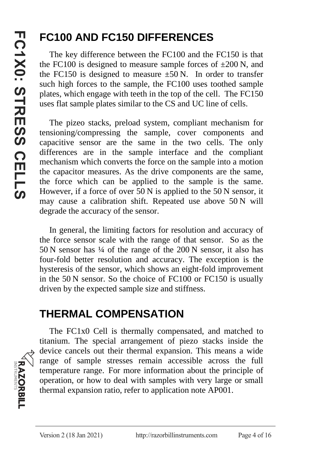# **FC100 AND FC150 DIFFERENCES**

The key difference between the FC100 and the FC150 is that the FC100 is designed to measure sample forces of  $\pm 200$  N, and the FC150 is designed to measure  $\pm 50$  N. In order to transfer such high forces to the sample, the FC100 uses toothed sample plates, which engage with teeth in the top of the cell. The FC150 uses flat sample plates similar to the CS and UC line of cells.

The pizeo stacks, preload system, compliant mechanism for tensioning/compressing the sample, cover components and capacitive sensor are the same in the two cells. The only differences are in the sample interface and the compliant mechanism which converts the force on the sample into a motion the capacitor measures. As the drive components are the same, the force which can be applied to the sample is the same. However, if a force of over 50 N is applied to the 50 N sensor, it may cause a calibration shift. Repeated use above 50 N will degrade the accuracy of the sensor.

<span id="page-3-0"></span>In general, the limiting factors for resolution and accuracy of the force sensor scale with the range of that sensor. So as the 50 N sensor has ¼ of the range of the 200 N sensor, it also has four-fold better resolution and accuracy. The exception is the hysteresis of the sensor, which shows an eight-fold improvement in the 50 N sensor. So the choice of FC100 or FC150 is usually driven by the expected sample size and stiffness.

### **THERMAL COMPENSATION**

The FC1x0 Cell is thermally compensated, and matched to titanium. The special arrangement of piezo stacks inside the device cancels out their thermal expansion. This means a wide range of sample stresses remain accessible across the full temperature range. For more information about the principle of operation, or how to deal with samples with very large or small thermal expansion ratio, refer to application note AP001.

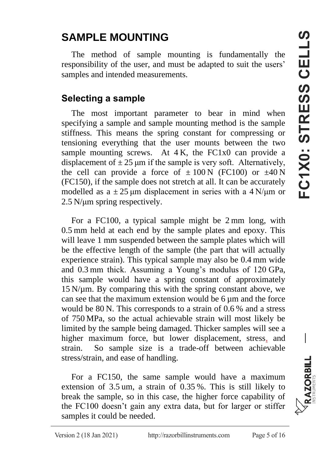### **SAMPLE MOUNTING**

The method of sample mounting is fundamentally the responsibility of the user, and must be adapted to suit the users' samples and intended measurements.

#### **Selecting a sample**

The most important parameter to bear in mind when specifying a sample and sample mounting method is the sample stiffness. This means the spring constant for compressing or tensioning everything that the user mounts between the two sample mounting screws. At 4 K, the FC1x0 can provide a displacement of  $\pm 25$  µm if the sample is very soft. Alternatively, the cell can provide a force of  $\pm 100 \text{ N}$  (FC100) or  $\pm 40 \text{ N}$ (FC150), if the sample does not stretch at all. It can be accurately modelled as  $a \pm 25$  μm displacement in series with a 4 N/μm or 2.5 N/μm spring respectively.

For a FC100, a typical sample might be 2 mm long, with 0.5 mm held at each end by the sample plates and epoxy. This will leave 1 mm suspended between the sample plates which will be the effective length of the sample (the part that will actually experience strain). This typical sample may also be 0.4 mm wide and 0.3 mm thick. Assuming a Young's modulus of 120 GPa, this sample would have a spring constant of approximately  $15$  N/ $\mu$ m. By comparing this with the spring constant above, we can see that the maximum extension would be  $6 \mu m$  and the force would be 80 N. This corresponds to a strain of 0.6 % and a stress of 750 MPa, so the actual achievable strain will most likely be limited by the sample being damaged. Thicker samples will see a higher maximum force, but lower displacement, stress, and strain. So sample size is a trade-off between achievable stress/strain, and ease of handling.

For a FC150, the same sample would have a maximum extension of 3.5 um, a strain of 0.35 %. This is still likely to break the sample, so in this case, the higher force capability of the FC100 doesn't gain any extra data, but for larger or stiffer samples it could be needed.



 $\overline{\phantom{a}}$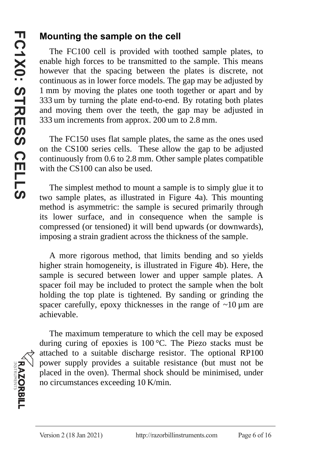#### **Mounting the sample on the cell**

The FC100 cell is provided with toothed sample plates, to enable high forces to be transmitted to the sample. This means however that the spacing between the plates is discrete, not continuous as in lower force models. The gap may be adjusted by 1 mm by moving the plates one tooth together or apart and by 333 um by turning the plate end-to-end. By rotating both plates and moving them over the teeth, the gap may be adjusted in 333 um increments from approx. 200 um to 2.8 mm.

The FC150 uses flat sample plates, the same as the ones used on the CS100 series cells. These allow the gap to be adjusted continuously from 0.6 to 2.8 mm. Other sample plates compatible with the CS100 can also be used.

The simplest method to mount a sample is to simply glue it to two sample plates, as illustrated in Figure 4a). This mounting method is asymmetric: the sample is secured primarily through its lower surface, and in consequence when the sample is compressed (or tensioned) it will bend upwards (or downwards), imposing a strain gradient across the thickness of the sample.

A more rigorous method, that limits bending and so yields higher strain homogeneity, is illustrated in Figure 4b). Here, the sample is secured between lower and upper sample plates. A spacer foil may be included to protect the sample when the bolt holding the top plate is tightened. By sanding or grinding the spacer carefully, epoxy thicknesses in the range of  $\sim 10 \,\mu m$  are achievable.

**RAZORBILL** 

The maximum temperature to which the cell may be exposed during curing of epoxies is 100 °C. The Piezo stacks must be attached to a suitable discharge resistor. The optional RP100 power supply provides a suitable resistance (but must not be placed in the oven). Thermal shock should be minimised, under no circumstances exceeding 10 K/min.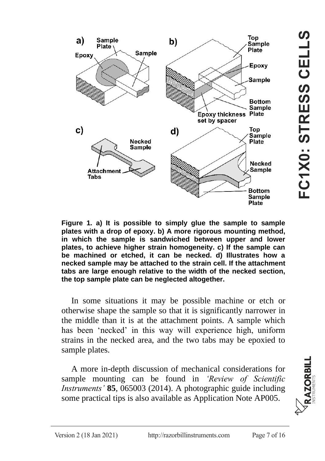

**Figure 1. a) It is possible to simply glue the sample to sample plates with a drop of epoxy. b) A more rigorous mounting method, in which the sample is sandwiched between upper and lower plates, to achieve higher strain homogeneity. c) If the sample can be machined or etched, it can be necked. d) Illustrates how a necked sample may be attached to the strain cell. If the attachment tabs are large enough relative to the width of the necked section, the top sample plate can be neglected altogether.**

In some situations it may be possible machine or etch or otherwise shape the sample so that it is significantly narrower in the middle than it is at the attachment points. A sample which has been 'necked' in this way will experience high, uniform strains in the necked area, and the two tabs may be epoxied to sample plates.

A more in-depth discussion of mechanical considerations for sample mounting can be found in *'Review of Scientific Instruments'* **85**, 065003 (2014). A photographic guide including some practical tips is also available as Application Note AP005.

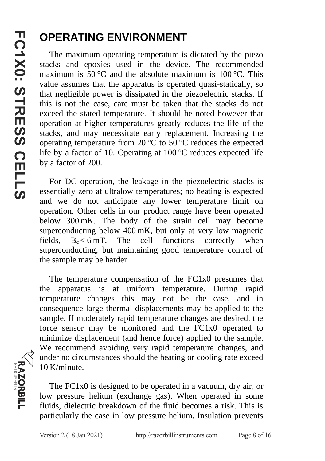# **OPERATING ENVIRONMENT**

The maximum operating temperature is dictated by the piezo stacks and epoxies used in the device. The recommended maximum is 50 °C and the absolute maximum is 100 °C. This value assumes that the apparatus is operated quasi-statically, so that negligible power is dissipated in the piezoelectric stacks. If this is not the case, care must be taken that the stacks do not exceed the stated temperature. It should be noted however that operation at higher temperatures greatly reduces the life of the stacks, and may necessitate early replacement. Increasing the operating temperature from 20 °C to 50 °C reduces the expected life by a factor of 10. Operating at 100 °C reduces expected life by a factor of 200.

For DC operation, the leakage in the piezoelectric stacks is essentially zero at ultralow temperatures; no heating is expected and we do not anticipate any lower temperature limit on operation. Other cells in our product range have been operated below 300 mK. The body of the strain cell may become superconducting below 400 mK, but only at very low magnetic fields,  $B_c < 6$  mT. The cell functions correctly when superconducting, but maintaining good temperature control of the sample may be harder.

The temperature compensation of the FC1x0 presumes that the apparatus is at uniform temperature. During rapid temperature changes this may not be the case, and in consequence large thermal displacements may be applied to the sample. If moderately rapid temperature changes are desired, the force sensor may be monitored and the FC1x0 operated to minimize displacement (and hence force) applied to the sample. We recommend avoiding very rapid temperature changes, and under no circumstances should the heating or cooling rate exceed 10 K/minute.

The FC1x0 is designed to be operated in a vacuum, dry air, or low pressure helium (exchange gas). When operated in some fluids, dielectric breakdown of the fluid becomes a risk. This is particularly the case in low pressure helium. Insulation prevents

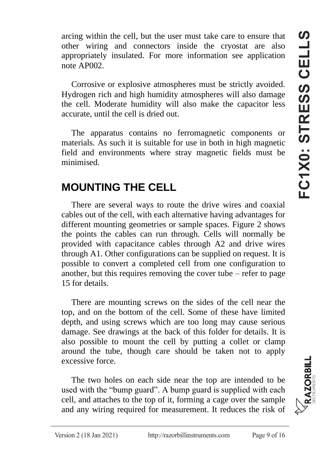arcing within the cell, but the user must take care to ensure that other wiring and connectors inside the cryostat are also appropriately insulated. For more information see application note AP002.

Corrosive or explosive atmospheres must be strictly avoided. Hydrogen rich and high humidity atmospheres will also damage the cell. Moderate humidity will also make the capacitor less accurate, until the cell is dried out.

The apparatus contains no ferromagnetic components or materials. As such it is suitable for use in both in high magnetic field and environments where stray magnetic fields must be minimised.

### **MOUNTING THE CELL**

There are several ways to route the drive wires and coaxial cables out of the cell, with each alternative having advantages for different mounting geometries or sample spaces. Figure 2 shows the points the cables can run through. Cells will normally be provided with capacitance cables through A2 and drive wires through A1. Other configurations can be supplied on request. It is possible to convert a completed cell from one configuration to another, but this requires removing the cover tube – refer to page [15](#page-14-0) for details.

There are mounting screws on the sides of the cell near the top, and on the bottom of the cell. Some of these have limited depth, and using screws which are too long may cause serious damage. See drawings at the back of this folder for details. It is also possible to mount the cell by putting a collet or clamp around the tube, though care should be taken not to apply excessive force.

The two holes on each side near the top are intended to be used with the "bump guard". A bump guard is supplied with each cell, and attaches to the top of it, forming a cage over the sample and any wiring required for measurement. It reduces the risk of

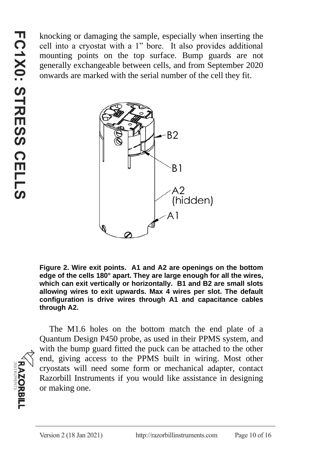knocking or damaging the sample, especially when inserting the cell into a cryostat with a 1" bore. It also provides additional mounting points on the top surface. Bump guards are not generally exchangeable between cells, and from September 2020 onwards are marked with the serial number of the cell they fit.



**Figure 2. Wire exit points. A1 and A2 are openings on the bottom edge of the cells 180° apart. They are large enough for all the wires, which can exit vertically or horizontally. B1 and B2 are small slots allowing wires to exit upwards. Max 4 wires per slot. The default configuration is drive wires through A1 and capacitance cables through A2.**

**RAZORBILL** 

The M1.6 holes on the bottom match the end plate of a Quantum Design P450 probe, as used in their PPMS system, and with the bump guard fitted the puck can be attached to the other end, giving access to the PPMS built in wiring. Most other cryostats will need some form or mechanical adapter, contact Razorbill Instruments if you would like assistance in designing or making one.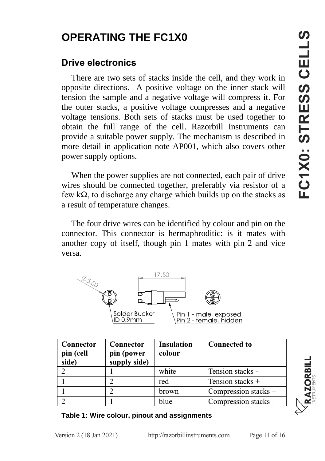# **OPERATING THE FC1X0**

### **Drive electronics**

There are two sets of stacks inside the cell, and they work in opposite directions. A positive voltage on the inner stack will tension the sample and a negative voltage will compress it. For the outer stacks, a positive voltage compresses and a negative voltage tensions. Both sets of stacks must be used together to obtain the full range of the cell. Razorbill Instruments can provide a suitable power supply. The mechanism is described in more detail in application note AP001, which also covers other power supply options.

When the power supplies are not connected, each pair of drive wires should be connected together, preferably via resistor of a few kΩ, to discharge any charge which builds up on the stacks as a result of temperature changes.

The four drive wires can be identified by colour and pin on the connector. This connector is hermaphroditic: is it mates with another copy of itself, though pin 1 mates with pin 2 and vice versa.



| Connector<br>pin (cell<br>side) | Connector<br>pin (power<br>supply side) | Insulation<br>colour | <b>Connected to</b>  |
|---------------------------------|-----------------------------------------|----------------------|----------------------|
|                                 |                                         | white                | Tension stacks -     |
|                                 |                                         | red                  | Tension stacks +     |
|                                 |                                         | brown                | Compression stacks + |
|                                 |                                         | blue                 | Compression stacks - |

**Table 1: Wire colour, pinout and assignments**

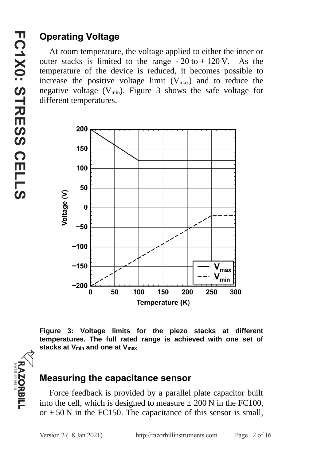### **Operating Voltage**

At room temperature, the voltage applied to either the inner or outer stacks is limited to the range  $-20$  to  $+120$  V. As the temperature of the device is reduced, it becomes possible to increase the positive voltage limit  $(V_{\text{max}})$  and to reduce the negative voltage  $(V_{min})$ . Figure 3 shows the safe voltage for different temperatures.



**Figure 3: Voltage limits for the piezo stacks at different temperatures. The full rated range is achieved with one set of stacks at Vmin and one at Vmax**

#### **Measuring the capacitance sensor**

Force feedback is provided by a parallel plate capacitor built into the cell, which is designed to measure  $\pm 200$  N in the FC100, or  $\pm$  50 N in the FC150. The capacitance of this sensor is small,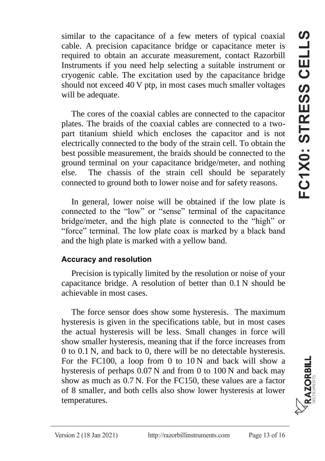similar to the capacitance of a few meters of typical coaxial  $\bullet$ cable. A precision capacitance bridge or capacitance meter is required to obtain an accurate measurement, contact Razorbill Instruments if you need help selecting a suitable instrument or cryogenic cable. The excitation used by the capacitance bridge should not exceed 40 V ptp, in most cases much smaller voltages will be adequate.

The cores of the coaxial cables are connected to the capacitor plates. The braids of the coaxial cables are connected to a twopart titanium shield which encloses the capacitor and is not electrically connected to the body of the strain cell. To obtain the best possible measurement, the braids should be connected to the ground terminal on your capacitance bridge/meter, and nothing else. The chassis of the strain cell should be separately connected to ground both to lower noise and for safety reasons.

In general, lower noise will be obtained if the low plate is connected to the "low" or "sense" terminal of the capacitance bridge/meter, and the high plate is connected to the "high" or "force" terminal. The low plate coax is marked by a black band and the high plate is marked with a yellow band.

#### **Accuracy and resolution**

Precision is typically limited by the resolution or noise of your capacitance bridge. A resolution of better than 0.1 N should be achievable in most cases.

The force sensor does show some hysteresis. The maximum hysteresis is given in the specifications table, but in most cases the actual hysteresis will be less. Small changes in force will show smaller hysteresis, meaning that if the force increases from 0 to 0.1 N, and back to 0, there will be no detectable hysteresis. For the FC100, a loop from 0 to 10 N and back will show a hysteresis of perhaps  $0.07$  N and from 0 to 100 N and back may show as much as 0.7 N. For the FC150, these values are a factor of 8 smaller, and both cells also show lower hysteresis at lower temperatures.

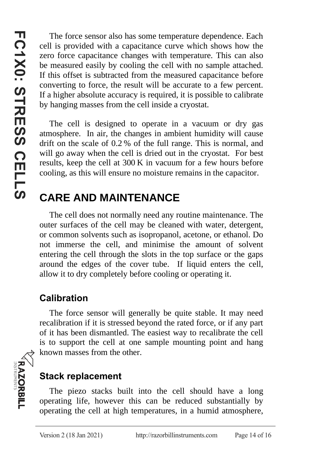The force sensor also has some temperature dependence. Each cell is provided with a capacitance curve which shows how the zero force capacitance changes with temperature. This can also be measured easily by cooling the cell with no sample attached. If this offset is subtracted from the measured capacitance before converting to force, the result will be accurate to a few percent. If a higher absolute accuracy is required, it is possible to calibrate by hanging masses from the cell inside a cryostat.

The cell is designed to operate in a vacuum or dry gas atmosphere. In air, the changes in ambient humidity will cause drift on the scale of 0.2 % of the full range. This is normal, and will go away when the cell is dried out in the cryostat. For best results, keep the cell at 300 K in vacuum for a few hours before cooling, as this will ensure no moisture remains in the capacitor.

### **CARE AND MAINTENANCE**

The cell does not normally need any routine maintenance. The outer surfaces of the cell may be cleaned with water, detergent, or common solvents such as isopropanol, acetone, or ethanol. Do not immerse the cell, and minimise the amount of solvent entering the cell through the slots in the top surface or the gaps around the edges of the cover tube. If liquid enters the cell, allow it to dry completely before cooling or operating it.

### **Calibration**

The force sensor will generally be quite stable. It may need recalibration if it is stressed beyond the rated force, or if any part of it has been dismantled. The easiest way to recalibrate the cell is to support the cell at one sample mounting point and hang known masses from the other.

#### **Stack replacement**

The piezo stacks built into the cell should have a long operating life, however this can be reduced substantially by operating the cell at high temperatures, in a humid atmosphere,

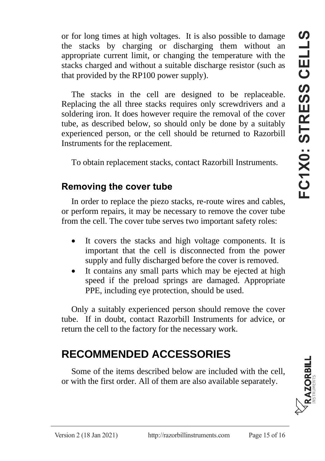or for long times at high voltages. It is also possible to damage the stacks by charging or discharging them without an appropriate current limit, or changing the temperature with the stacks charged and without a suitable discharge resistor (such as that provided by the RP100 power supply).

The stacks in the cell are designed to be replaceable. Replacing the all three stacks requires only screwdrivers and a soldering iron. It does however require the removal of the cover tube, as described below, so should only be done by a suitably experienced person, or the cell should be returned to Razorbill Instruments for the replacement.

To obtain replacement stacks, contact Razorbill Instruments.

#### <span id="page-14-0"></span>**Removing the cover tube**

In order to replace the piezo stacks, re-route wires and cables, or perform repairs, it may be necessary to remove the cover tube from the cell. The cover tube serves two important safety roles:

- It covers the stacks and high voltage components. It is important that the cell is disconnected from the power supply and fully discharged before the cover is removed.
- It contains any small parts which may be ejected at high speed if the preload springs are damaged. Appropriate PPE, including eye protection, should be used.

Only a suitably experienced person should remove the cover tube. If in doubt, contact Razorbill Instruments for advice, or return the cell to the factory for the necessary work.

### **RECOMMENDED ACCESSORIES**

Some of the items described below are included with the cell, or with the first order. All of them are also available separately.